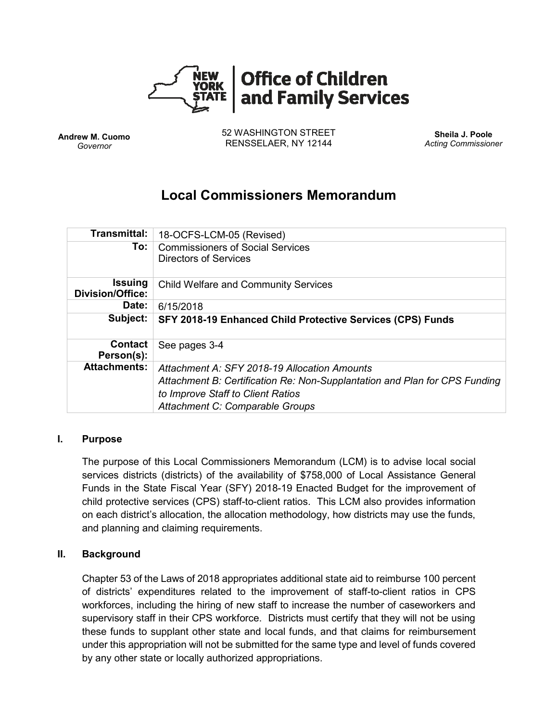

**Andrew M. Cuomo** *Governor*

52 WASHINGTON STREET RENSSELAER, NY 12144

**Sheila J. Poole** *Acting Commissioner*

# **Local Commissioners Memorandum**

| Transmittal:                              | 18-OCFS-LCM-05 (Revised)                                                                                        |
|-------------------------------------------|-----------------------------------------------------------------------------------------------------------------|
| To:                                       | <b>Commissioners of Social Services</b><br><b>Directors of Services</b>                                         |
| <b>Issuing</b><br><b>Division/Office:</b> | <b>Child Welfare and Community Services</b>                                                                     |
| Date:                                     | 6/15/2018                                                                                                       |
| Subject:                                  | SFY 2018-19 Enhanced Child Protective Services (CPS) Funds                                                      |
| <b>Contact</b><br>Person(s):              | See pages 3-4                                                                                                   |
| <b>Attachments:</b>                       | Attachment A: SFY 2018-19 Allocation Amounts                                                                    |
|                                           | Attachment B: Certification Re: Non-Supplantation and Plan for CPS Funding<br>to Improve Staff to Client Ratios |
|                                           | Attachment C: Comparable Groups                                                                                 |

### **I. Purpose**

The purpose of this Local Commissioners Memorandum (LCM) is to advise local social services districts (districts) of the availability of \$758,000 of Local Assistance General Funds in the State Fiscal Year (SFY) 2018-19 Enacted Budget for the improvement of child protective services (CPS) staff-to-client ratios. This LCM also provides information on each district's allocation, the allocation methodology, how districts may use the funds, and planning and claiming requirements.

### **II. Background**

Chapter 53 of the Laws of 2018 appropriates additional state aid to reimburse 100 percent of districts' expenditures related to the improvement of staff-to-client ratios in CPS workforces, including the hiring of new staff to increase the number of caseworkers and supervisory staff in their CPS workforce. Districts must certify that they will not be using these funds to supplant other state and local funds, and that claims for reimbursement under this appropriation will not be submitted for the same type and level of funds covered by any other state or locally authorized appropriations.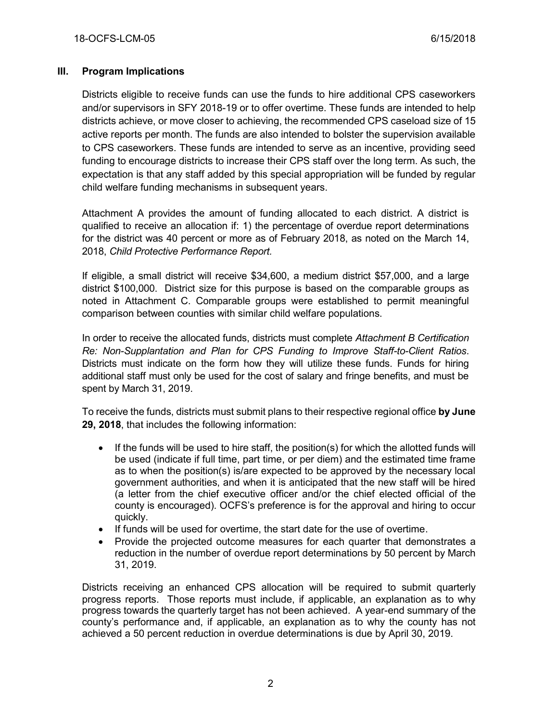# **III. Program Implications**

Districts eligible to receive funds can use the funds to hire additional CPS caseworkers and/or supervisors in SFY 2018-19 or to offer overtime. These funds are intended to help districts achieve, or move closer to achieving, the recommended CPS caseload size of 15 active reports per month. The funds are also intended to bolster the supervision available to CPS caseworkers. These funds are intended to serve as an incentive, providing seed funding to encourage districts to increase their CPS staff over the long term. As such, the expectation is that any staff added by this special appropriation will be funded by regular child welfare funding mechanisms in subsequent years.

Attachment A provides the amount of funding allocated to each district. A district is qualified to receive an allocation if: 1) the percentage of overdue report determinations for the district was 40 percent or more as of February 2018, as noted on the March 14, 2018, *Child Protective Performance Report.* 

If eligible, a small district will receive \$34,600, a medium district \$57,000, and a large district \$100,000. District size for this purpose is based on the comparable groups as noted in Attachment C. Comparable groups were established to permit meaningful comparison between counties with similar child welfare populations.

In order to receive the allocated funds, districts must complete *Attachment B Certification Re: Non-Supplantation and Plan for CPS Funding to Improve Staff-to-Client Ratios*. Districts must indicate on the form how they will utilize these funds. Funds for hiring additional staff must only be used for the cost of salary and fringe benefits, and must be spent by March 31, 2019.

To receive the funds, districts must submit plans to their respective regional office **by June 29, 2018**, that includes the following information:

- If the funds will be used to hire staff, the position(s) for which the allotted funds will be used (indicate if full time, part time, or per diem) and the estimated time frame as to when the position(s) is/are expected to be approved by the necessary local government authorities, and when it is anticipated that the new staff will be hired (a letter from the chief executive officer and/or the chief elected official of the county is encouraged). OCFS's preference is for the approval and hiring to occur quickly.
- If funds will be used for overtime, the start date for the use of overtime.
- Provide the projected outcome measures for each quarter that demonstrates a reduction in the number of overdue report determinations by 50 percent by March 31, 2019.

Districts receiving an enhanced CPS allocation will be required to submit quarterly progress reports. Those reports must include, if applicable, an explanation as to why progress towards the quarterly target has not been achieved. A year-end summary of the county's performance and, if applicable, an explanation as to why the county has not achieved a 50 percent reduction in overdue determinations is due by April 30, 2019.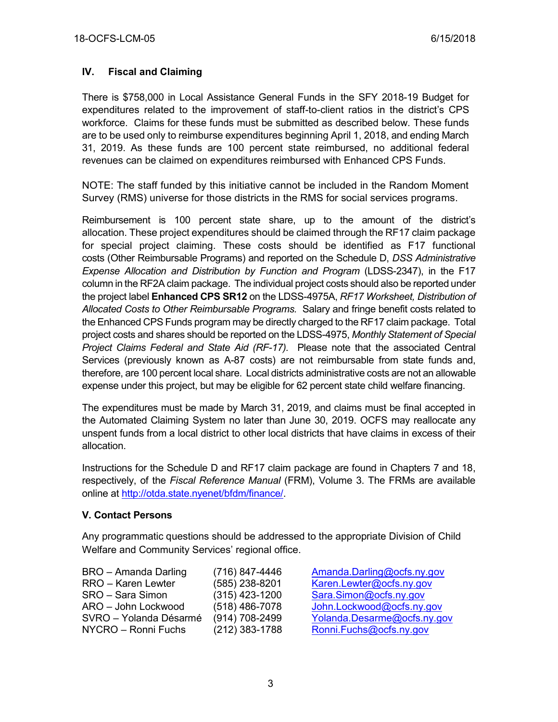# **IV. Fiscal and Claiming**

There is \$758,000 in Local Assistance General Funds in the SFY 2018-19 Budget for expenditures related to the improvement of staff-to-client ratios in the district's CPS workforce. Claims for these funds must be submitted as described below. These funds are to be used only to reimburse expenditures beginning April 1, 2018, and ending March 31, 2019. As these funds are 100 percent state reimbursed, no additional federal revenues can be claimed on expenditures reimbursed with Enhanced CPS Funds.

NOTE: The staff funded by this initiative cannot be included in the Random Moment Survey (RMS) universe for those districts in the RMS for social services programs.

Reimbursement is 100 percent state share, up to the amount of the district's allocation. These project expenditures should be claimed through the RF17 claim package for special project claiming. These costs should be identified as F17 functional costs (Other Reimbursable Programs) and reported on the Schedule D, *DSS Administrative Expense Allocation and Distribution by Function and Program* (LDSS-2347), in the F17 column in the RF2A claim package. The individual project costs should also be reported under the project label **Enhanced CPS SR12** on the LDSS-4975A, *RF17 Worksheet, Distribution of Allocated Costs to Other Reimbursable Programs.* Salary and fringe benefit costs related to the Enhanced CPS Funds program may be directly charged to the RF17 claim package. Total project costs and shares should be reported on the LDSS-4975, *Monthly Statement of Special Project Claims Federal and State Aid (RF-17).* Please note that the associated Central Services (previously known as A-87 costs) are not reimbursable from state funds and, therefore, are 100 percent local share. Local districts administrative costs are not an allowable expense under this project, but may be eligible for 62 percent state child welfare financing.

The expenditures must be made by March 31, 2019, and claims must be final accepted in the Automated Claiming System no later than June 30, 2019. OCFS may reallocate any unspent funds from a local district to other local districts that have claims in excess of their allocation.

Instructions for the Schedule D and RF17 claim package are found in Chapters 7 and 18, respectively, of the *Fiscal Reference Manual* (FRM), Volume 3. The FRMs are available online at [http://otda.state.nyenet/bfdm/finance/.](http://otda.state.nyenet/bfdm/finance/)

### **V. Contact Persons**

Any programmatic questions should be addressed to the appropriate Division of Child Welfare and Community Services' regional office.

| BRO - Amanda Darling   | (716) 847-44     |
|------------------------|------------------|
| RRO - Karen Lewter     | $(585)$ 238-82   |
| SRO - Sara Simon       | $(315)$ 423-12   |
| ARO - John Lockwood    | $(518)$ 486-70   |
| SVRO - Yolanda Désarmé | $(914) 708 - 24$ |
| NYCRO - Ronni Fuchs    | $(212)$ 383-17   |
|                        |                  |

ARO Amanda Darling @ocfs.ny.gov 201 Karen Lewter @ocfs.ny.gov 00 [Sara.Simon@ocfs.ny.gov](mailto:Sara.Simon@ocfs.ny.gov) 78 John Lockwood @ocfs.ny.gov 99 Yolanda Desarme@ocfs.ny.gov 88 [Ronni.Fuchs@ocfs.ny.gov](mailto:Ronni.Fuchs@ocfs.ny.gov)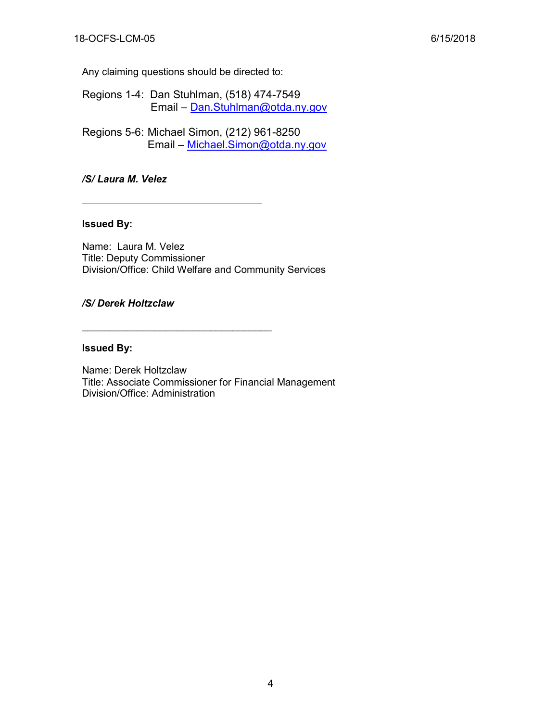Any claiming questions should be directed to:

- Regions 1-4: Dan Stuhlman, (518) 474-7549 Email – [Dan.Stuhlman@otda.ny.gov](mailto:Dan.Stuhlman@otda.ny.gov)
- Regions 5-6: Michael Simon, (212) 961-8250 Email – [Michael.Simon@otda.ny.gov](mailto:Michael.Simon@otda.ny.gov)

#### */S/ Laura M. Velez*

#### **Issued By:**

Name: Laura M. Velez Title: Deputy Commissioner Division/Office: Child Welfare and Community Services

\_\_\_\_\_\_\_\_\_\_\_\_\_\_\_\_\_\_\_\_\_\_\_\_\_\_\_\_\_\_\_\_\_\_

#### */S/ Derek Holtzclaw*

#### **Issued By:**

Name: Derek Holtzclaw Title: Associate Commissioner for Financial Management Division/Office: Administration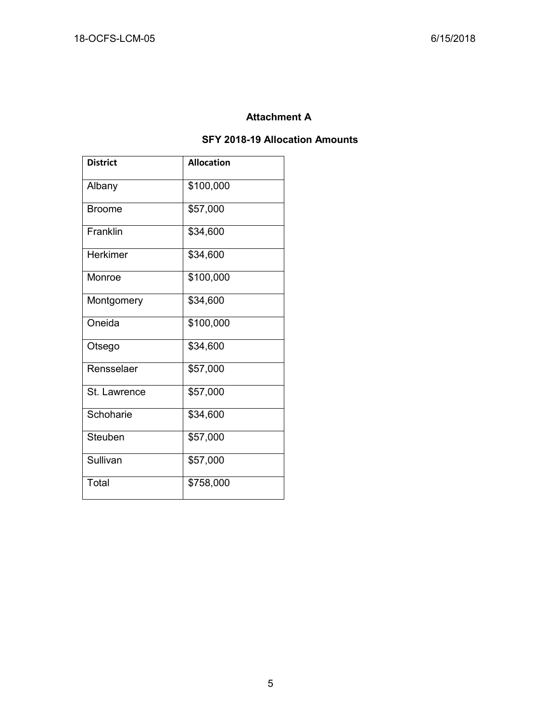# **Attachment A**

# **SFY 2018-19 Allocation Amounts**

| <b>District</b> | <b>Allocation</b> |  |  |
|-----------------|-------------------|--|--|
| Albany          | \$100,000         |  |  |
| Broome          | \$57,000          |  |  |
| Franklin        | \$34,600          |  |  |
| <b>Herkimer</b> | \$34,600          |  |  |
| Monroe          | \$100,000         |  |  |
| Montgomery      | \$34,600          |  |  |
| Oneida          | \$100,000         |  |  |
| Otsego          | \$34,600          |  |  |
| Rensselaer      | \$57,000          |  |  |
| St. Lawrence    | \$57,000          |  |  |
| Schoharie       | \$34,600          |  |  |
| Steuben         | \$57,000          |  |  |
| Sullivan        | \$57,000          |  |  |
| Total           | \$758,000         |  |  |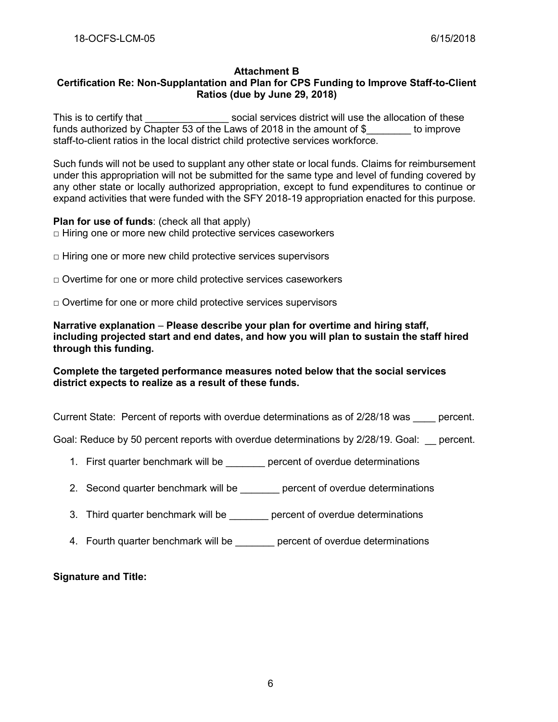#### **Attachment B**

# **Certification Re: Non-Supplantation and Plan for CPS Funding to Improve Staff-to-Client Ratios (due by June 29, 2018)**

This is to certify that This is to certify that  $\sim$  social services district will use the allocation of these funds authorized by Chapter 53 of the Laws of 2018 in the amount of \$ to improve staff-to-client ratios in the local district child protective services workforce.

Such funds will not be used to supplant any other state or local funds. Claims for reimbursement under this appropriation will not be submitted for the same type and level of funding covered by any other state or locally authorized appropriation, except to fund expenditures to continue or expand activities that were funded with the SFY 2018-19 appropriation enacted for this purpose.

**Plan for use of funds: (check all that apply)**  $\Box$  Hiring one or more new child protective services caseworkers

- $\Box$  Hiring one or more new child protective services supervisors
- $\Box$  Overtime for one or more child protective services caseworkers
- $\Box$  Overtime for one or more child protective services supervisors

**Narrative explanation** – **Please describe your plan for overtime and hiring staff, including projected start and end dates, and how you will plan to sustain the staff hired through this funding.**

#### **Complete the targeted performance measures noted below that the social services district expects to realize as a result of these funds.**

Current State: Percent of reports with overdue determinations as of 2/28/18 was \_\_\_\_ percent.

Goal: Reduce by 50 percent reports with overdue determinations by 2/28/19. Goal: percent.

- 1. First quarter benchmark will be percent of overdue determinations
- 2. Second quarter benchmark will be exampled percent of overdue determinations
- 3. Third quarter benchmark will be \_\_\_\_\_\_\_ percent of overdue determinations
- 4. Fourth quarter benchmark will be \_\_\_\_\_\_\_ percent of overdue determinations

**Signature and Title:**